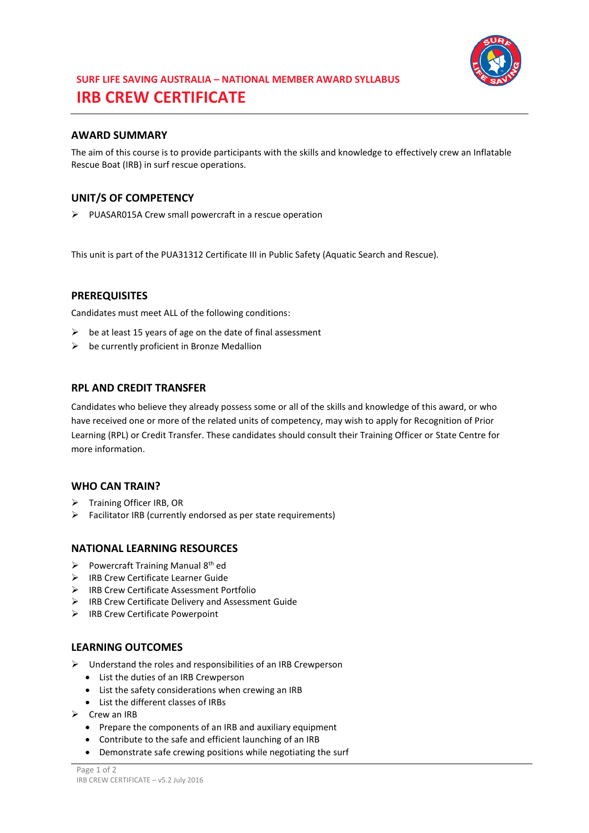

# **SURF LIFE SAVING AUSTRALIA – NATIONAL MEMBER AWARD SYLLABUS IRB CREW CERTIFICATE**

## **AWARD SUMMARY**

The aim of this course is to provide participants with the skills and knowledge to effectively crew an Inflatable Rescue Boat (IRB) in surf rescue operations.

### **UNIT/S OF COMPETENCY**

PUASAR015A Crew small powercraft in a rescue operation

This unit is part of the PUA31312 Certificate III in Public Safety (Aquatic Search and Rescue).

#### **PREREQUISITES**

Candidates must meet ALL of the following conditions:

- $\triangleright$  be at least 15 years of age on the date of final assessment
- $\triangleright$  be currently proficient in Bronze Medallion

#### **RPL AND CREDIT TRANSFER**

Candidates who believe they already possess some or all of the skills and knowledge of this award, or who have received one or more of the related units of competency, may wish to apply for Recognition of Prior Learning (RPL) or Credit Transfer. These candidates should consult their Training Officer or State Centre for more information.

#### **WHO CAN TRAIN?**

- > Training Officer IRB, OR
- $\triangleright$  Facilitator IRB (currently endorsed as per state requirements)

#### **NATIONAL LEARNING RESOURCES**

- Powercraft Training Manual  $8<sup>th</sup>$  ed
- > IRB Crew Certificate Learner Guide
- IRB Crew Certificate Assessment Portfolio
- $\triangleright$  IRB Crew Certificate Delivery and Assessment Guide
- $\triangleright$  IRB Crew Certificate Powerpoint

#### **LEARNING OUTCOMES**

- $\triangleright$  Understand the roles and responsibilities of an IRB Crewperson
	- List the duties of an IRB Crewperson
	- List the safety considerations when crewing an IRB
	- List the different classes of IRBs
- $\triangleright$  Crew an IRB
	- Prepare the components of an IRB and auxiliary equipment
	- Contribute to the safe and efficient launching of an IRB
	- Demonstrate safe crewing positions while negotiating the surf